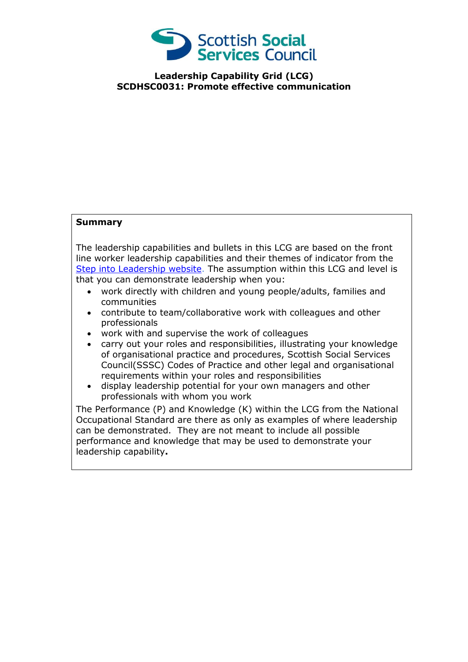

**Leadership Capability Grid (LCG) SCDHSC0031: Promote effective communication**

## **Summary**

The leadership capabilities and bullets in this LCG are based on the front line worker leadership capabilities and their themes of indicator from the [Step into Leadership website.](http://www.stepintoleadership.info/) The assumption within this LCG and level is that you can demonstrate leadership when you:

- work directly with children and young people/adults, families and communities
- contribute to team/collaborative work with colleagues and other professionals
- work with and supervise the work of colleagues
- carry out your roles and responsibilities, illustrating your knowledge of organisational practice and procedures, Scottish Social Services Council(SSSC) Codes of Practice and other legal and organisational requirements within your roles and responsibilities
- display leadership potential for your own managers and other professionals with whom you work

The Performance (P) and Knowledge (K) within the LCG from the National Occupational Standard are there as only as examples of where leadership can be demonstrated. They are not meant to include all possible performance and knowledge that may be used to demonstrate your leadership capability**.**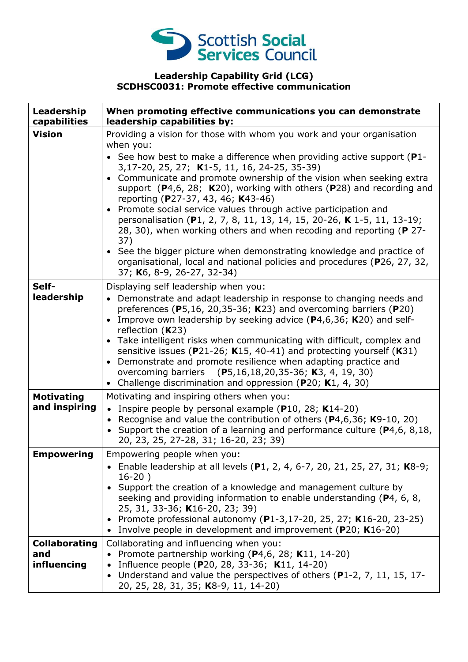

## **Leadership Capability Grid (LCG) SCDHSC0031: Promote effective communication**

| Leadership<br>capabilities                 | When promoting effective communications you can demonstrate<br>leadership capabilities by:                                                                                                                                                                                                                                                                                                                                                                                                                                                                                                                                                                                                                                                                                                                                 |
|--------------------------------------------|----------------------------------------------------------------------------------------------------------------------------------------------------------------------------------------------------------------------------------------------------------------------------------------------------------------------------------------------------------------------------------------------------------------------------------------------------------------------------------------------------------------------------------------------------------------------------------------------------------------------------------------------------------------------------------------------------------------------------------------------------------------------------------------------------------------------------|
| <b>Vision</b>                              | Providing a vision for those with whom you work and your organisation<br>when you:<br>• See how best to make a difference when providing active support ( $P1$ -<br>3,17-20, 25, 27; K1-5, 11, 16, 24-25, 35-39)<br>• Communicate and promote ownership of the vision when seeking extra<br>support $(P4,6, 28; K20)$ , working with others $(P28)$ and recording and<br>reporting (P27-37, 43, 46; K43-46)<br>• Promote social service values through active participation and<br>personalisation (P1, 2, 7, 8, 11, 13, 14, 15, 20-26, K 1-5, 11, 13-19;<br>28, 30), when working others and when recoding and reporting (P 27-<br>37)<br>• See the bigger picture when demonstrating knowledge and practice of<br>organisational, local and national policies and procedures (P26, 27, 32,<br>37; K6, 8-9, 26-27, 32-34) |
| Self-<br>leadership                        | Displaying self leadership when you:<br>• Demonstrate and adapt leadership in response to changing needs and<br>preferences (P5,16, 20,35-36; K23) and overcoming barriers (P20)<br>• Improve own leadership by seeking advice (P4,6,36; K20) and self-<br>reflection $(K23)$<br>• Take intelligent risks when communicating with difficult, complex and<br>sensitive issues (P21-26; K15, 40-41) and protecting yourself (K31)<br>• Demonstrate and promote resilience when adapting practice and<br>overcoming barriers (P5,16,18,20,35-36; K3, 4, 19, 30)<br>Challenge discrimination and oppression ( $P20$ ; K1, 4, 30)                                                                                                                                                                                               |
| <b>Motivating</b><br>and inspiring         | Motivating and inspiring others when you:<br>Inspire people by personal example ( $P10$ , 28; K14-20)<br>$\bullet$<br>• Recognise and value the contribution of others (P4,6,36; K9-10, 20)<br>• Support the creation of a learning and performance culture ( $P4,6,8,18,$<br>20, 23, 25, 27-28, 31; 16-20, 23; 39)                                                                                                                                                                                                                                                                                                                                                                                                                                                                                                        |
| <b>Empowering</b>                          | Empowering people when you:<br>• Enable leadership at all levels (P1, 2, 4, 6-7, 20, 21, 25, 27, 31; K8-9;<br>$16-20)$<br>• Support the creation of a knowledge and management culture by<br>seeking and providing information to enable understanding (P4, 6, 8,<br>25, 31, 33-36; K16-20, 23; 39)<br>• Promote professional autonomy (P1-3,17-20, 25, 27; K16-20, 23-25)<br>• Involve people in development and improvement (P20; K16-20)                                                                                                                                                                                                                                                                                                                                                                                |
| <b>Collaborating</b><br>and<br>influencing | Collaborating and influencing when you:<br>• Promote partnership working ( $P4,6$ , 28; K11, 14-20)<br>• Influence people (P20, 28, 33-36; K11, 14-20)<br>• Understand and value the perspectives of others (P1-2, 7, 11, 15, 17-<br>20, 25, 28, 31, 35; K8-9, 11, 14-20)                                                                                                                                                                                                                                                                                                                                                                                                                                                                                                                                                  |